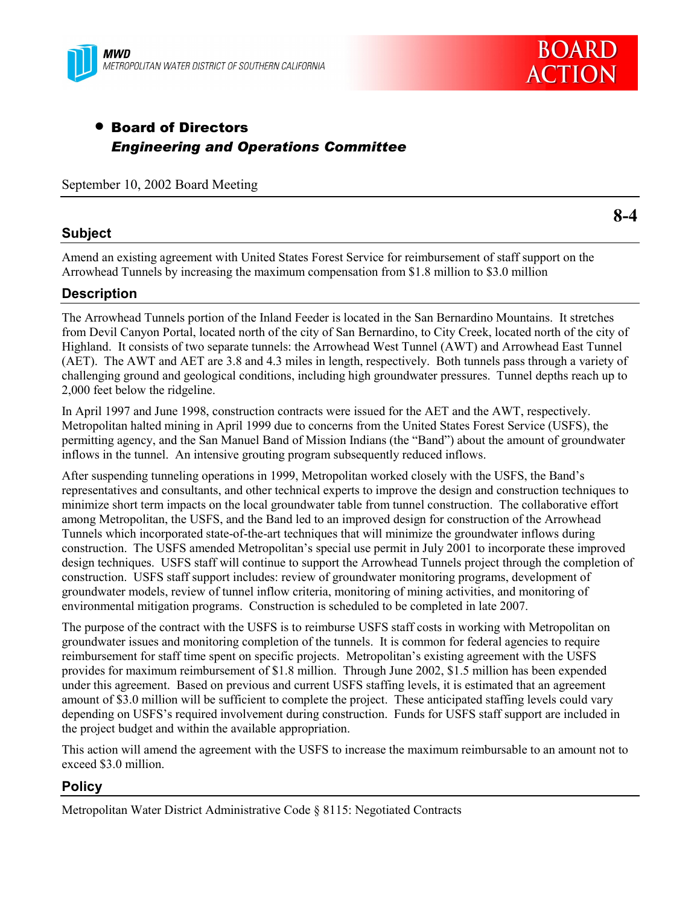



# • Board of Directors *Engineering and Operations Committee*

September 10, 2002 Board Meeting

### **Subject**

**8-4**

Amend an existing agreement with United States Forest Service for reimbursement of staff support on the Arrowhead Tunnels by increasing the maximum compensation from \$1.8 million to \$3.0 million

### **Description**

The Arrowhead Tunnels portion of the Inland Feeder is located in the San Bernardino Mountains. It stretches from Devil Canyon Portal, located north of the city of San Bernardino, to City Creek, located north of the city of Highland. It consists of two separate tunnels: the Arrowhead West Tunnel (AWT) and Arrowhead East Tunnel (AET). The AWT and AET are 3.8 and 4.3 miles in length, respectively. Both tunnels pass through a variety of challenging ground and geological conditions, including high groundwater pressures. Tunnel depths reach up to 2,000 feet below the ridgeline.

In April 1997 and June 1998, construction contracts were issued for the AET and the AWT, respectively. Metropolitan halted mining in April 1999 due to concerns from the United States Forest Service (USFS), the permitting agency, and the San Manuel Band of Mission Indians (the "Band") about the amount of groundwater inflows in the tunnel. An intensive grouting program subsequently reduced inflows.

After suspending tunneling operations in 1999, Metropolitan worked closely with the USFS, the Bandís representatives and consultants, and other technical experts to improve the design and construction techniques to minimize short term impacts on the local groundwater table from tunnel construction. The collaborative effort among Metropolitan, the USFS, and the Band led to an improved design for construction of the Arrowhead Tunnels which incorporated state-of-the-art techniques that will minimize the groundwater inflows during construction. The USFS amended Metropolitanís special use permit in July 2001 to incorporate these improved design techniques. USFS staff will continue to support the Arrowhead Tunnels project through the completion of construction. USFS staff support includes: review of groundwater monitoring programs, development of groundwater models, review of tunnel inflow criteria, monitoring of mining activities, and monitoring of environmental mitigation programs. Construction is scheduled to be completed in late 2007.

The purpose of the contract with the USFS is to reimburse USFS staff costs in working with Metropolitan on groundwater issues and monitoring completion of the tunnels. It is common for federal agencies to require reimbursement for staff time spent on specific projects. Metropolitanís existing agreement with the USFS provides for maximum reimbursement of \$1.8 million. Through June 2002, \$1.5 million has been expended under this agreement. Based on previous and current USFS staffing levels, it is estimated that an agreement amount of \$3.0 million will be sufficient to complete the project. These anticipated staffing levels could vary depending on USFS's required involvement during construction. Funds for USFS staff support are included in the project budget and within the available appropriation.

This action will amend the agreement with the USFS to increase the maximum reimbursable to an amount not to exceed \$3.0 million.

## **Policy**

Metropolitan Water District Administrative Code ß 8115: Negotiated Contracts